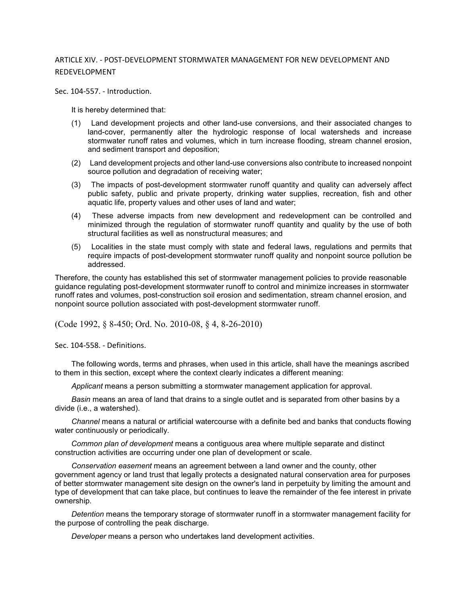## ARTICLE XIV. - POST-DEVELOPMENT STORMWATER MANAGEMENT FOR NEW DEVELOPMENT AND REDEVELOPMENT

Sec. 104-557. - Introduction.

It is hereby determined that:

- (1) Land development projects and other land-use conversions, and their associated changes to land-cover, permanently alter the hydrologic response of local watersheds and increase stormwater runoff rates and volumes, which in turn increase flooding, stream channel erosion, and sediment transport and deposition;
- (2) Land development projects and other land-use conversions also contribute to increased nonpoint source pollution and degradation of receiving water;
- (3) The impacts of post-development stormwater runoff quantity and quality can adversely affect public safety, public and private property, drinking water supplies, recreation, fish and other aquatic life, property values and other uses of land and water;
- (4) These adverse impacts from new development and redevelopment can be controlled and minimized through the regulation of stormwater runoff quantity and quality by the use of both structural facilities as well as nonstructural measures; and
- (5) Localities in the state must comply with state and federal laws, regulations and permits that require impacts of post-development stormwater runoff quality and nonpoint source pollution be addressed.

Therefore, the county has established this set of stormwater management policies to provide reasonable guidance regulating post-development stormwater runoff to control and minimize increases in stormwater runoff rates and volumes, post-construction soil erosion and sedimentation, stream channel erosion, and nonpoint source pollution associated with post-development stormwater runoff.

(Code 1992, § 8-450; Ord. No. 2010-08, § 4, 8-26-2010)

Sec. 104-558. - Definitions.

The following words, terms and phrases, when used in this article, shall have the meanings ascribed to them in this section, except where the context clearly indicates a different meaning:

*Applicant* means a person submitting a stormwater management application for approval.

*Basin* means an area of land that drains to a single outlet and is separated from other basins by a divide (i.e., a watershed).

*Channel* means a natural or artificial watercourse with a definite bed and banks that conducts flowing water continuously or periodically.

*Common plan of development* means a contiguous area where multiple separate and distinct construction activities are occurring under one plan of development or scale.

*Conservation easement* means an agreement between a land owner and the county, other government agency or land trust that legally protects a designated natural conservation area for purposes of better stormwater management site design on the owner's land in perpetuity by limiting the amount and type of development that can take place, but continues to leave the remainder of the fee interest in private ownership.

*Detention* means the temporary storage of stormwater runoff in a stormwater management facility for the purpose of controlling the peak discharge.

*Developer* means a person who undertakes land development activities.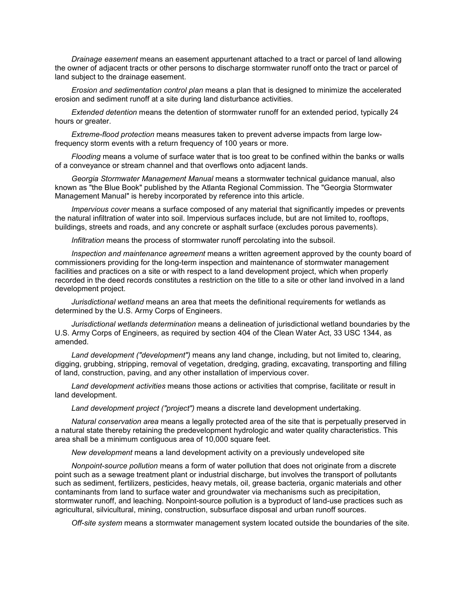*Drainage easement* means an easement appurtenant attached to a tract or parcel of land allowing the owner of adjacent tracts or other persons to discharge stormwater runoff onto the tract or parcel of land subject to the drainage easement.

*Erosion and sedimentation control plan* means a plan that is designed to minimize the accelerated erosion and sediment runoff at a site during land disturbance activities.

*Extended detention* means the detention of stormwater runoff for an extended period, typically 24 hours or greater.

*Extreme-flood protection* means measures taken to prevent adverse impacts from large lowfrequency storm events with a return frequency of 100 years or more.

*Flooding* means a volume of surface water that is too great to be confined within the banks or walls of a conveyance or stream channel and that overflows onto adjacent lands.

*Georgia Stormwater Management Manual* means a stormwater technical guidance manual, also known as "the Blue Book" published by the Atlanta Regional Commission. The "Georgia Stormwater Management Manual" is hereby incorporated by reference into this article.

*Impervious cover* means a surface composed of any material that significantly impedes or prevents the natural infiltration of water into soil. Impervious surfaces include, but are not limited to, rooftops, buildings, streets and roads, and any concrete or asphalt surface (excludes porous pavements).

*Infiltration* means the process of stormwater runoff percolating into the subsoil.

*Inspection and maintenance agreement* means a written agreement approved by the county board of commissioners providing for the long-term inspection and maintenance of stormwater management facilities and practices on a site or with respect to a land development project, which when properly recorded in the deed records constitutes a restriction on the title to a site or other land involved in a land development project.

*Jurisdictional wetland* means an area that meets the definitional requirements for wetlands as determined by the U.S. Army Corps of Engineers.

*Jurisdictional wetlands determination* means a delineation of jurisdictional wetland boundaries by the U.S. Army Corps of Engineers, as required by section 404 of the Clean Water Act, 33 USC 1344, as amended.

*Land development ("development")* means any land change, including, but not limited to, clearing, digging, grubbing, stripping, removal of vegetation, dredging, grading, excavating, transporting and filling of land, construction, paving, and any other installation of impervious cover.

*Land development activities* means those actions or activities that comprise, facilitate or result in land development.

*Land development project ("project")* means a discrete land development undertaking.

*Natural conservation area* means a legally protected area of the site that is perpetually preserved in a natural state thereby retaining the predevelopment hydrologic and water quality characteristics. This area shall be a minimum contiguous area of 10,000 square feet.

*New development* means a land development activity on a previously undeveloped site

*Nonpoint-source pollution* means a form of water pollution that does not originate from a discrete point such as a sewage treatment plant or industrial discharge, but involves the transport of pollutants such as sediment, fertilizers, pesticides, heavy metals, oil, grease bacteria, organic materials and other contaminants from land to surface water and groundwater via mechanisms such as precipitation, stormwater runoff, and leaching. Nonpoint-source pollution is a byproduct of land-use practices such as agricultural, silvicultural, mining, construction, subsurface disposal and urban runoff sources.

*Off-site system* means a stormwater management system located outside the boundaries of the site.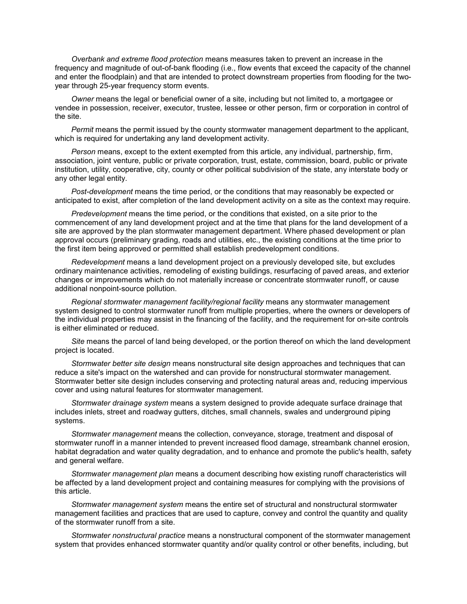*Overbank and extreme flood protection* means measures taken to prevent an increase in the frequency and magnitude of out-of-bank flooding (i.e., flow events that exceed the capacity of the channel and enter the floodplain) and that are intended to protect downstream properties from flooding for the twoyear through 25-year frequency storm events.

*Owner* means the legal or beneficial owner of a site, including but not limited to, a mortgagee or vendee in possession, receiver, executor, trustee, lessee or other person, firm or corporation in control of the site.

*Permit* means the permit issued by the county stormwater management department to the applicant, which is required for undertaking any land development activity.

*Person* means, except to the extent exempted from this article, any individual, partnership, firm, association, joint venture, public or private corporation, trust, estate, commission, board, public or private institution, utility, cooperative, city, county or other political subdivision of the state, any interstate body or any other legal entity.

*Post-development* means the time period, or the conditions that may reasonably be expected or anticipated to exist, after completion of the land development activity on a site as the context may require.

*Predevelopment* means the time period, or the conditions that existed, on a site prior to the commencement of any land development project and at the time that plans for the land development of a site are approved by the plan stormwater management department. Where phased development or plan approval occurs (preliminary grading, roads and utilities, etc., the existing conditions at the time prior to the first item being approved or permitted shall establish predevelopment conditions.

*Redevelopment* means a land development project on a previously developed site, but excludes ordinary maintenance activities, remodeling of existing buildings, resurfacing of paved areas, and exterior changes or improvements which do not materially increase or concentrate stormwater runoff, or cause additional nonpoint-source pollution.

*Regional stormwater management facility/regional facility* means any stormwater management system designed to control stormwater runoff from multiple properties, where the owners or developers of the individual properties may assist in the financing of the facility, and the requirement for on-site controls is either eliminated or reduced.

*Site* means the parcel of land being developed, or the portion thereof on which the land development project is located.

*Stormwater better site design* means nonstructural site design approaches and techniques that can reduce a site's impact on the watershed and can provide for nonstructural stormwater management. Stormwater better site design includes conserving and protecting natural areas and, reducing impervious cover and using natural features for stormwater management.

*Stormwater drainage system* means a system designed to provide adequate surface drainage that includes inlets, street and roadway gutters, ditches, small channels, swales and underground piping systems.

*Stormwater management* means the collection, conveyance, storage, treatment and disposal of stormwater runoff in a manner intended to prevent increased flood damage, streambank channel erosion, habitat degradation and water quality degradation, and to enhance and promote the public's health, safety and general welfare.

*Stormwater management plan* means a document describing how existing runoff characteristics will be affected by a land development project and containing measures for complying with the provisions of this article.

*Stormwater management system* means the entire set of structural and nonstructural stormwater management facilities and practices that are used to capture, convey and control the quantity and quality of the stormwater runoff from a site.

*Stormwater nonstructural practice* means a nonstructural component of the stormwater management system that provides enhanced stormwater quantity and/or quality control or other benefits, including, but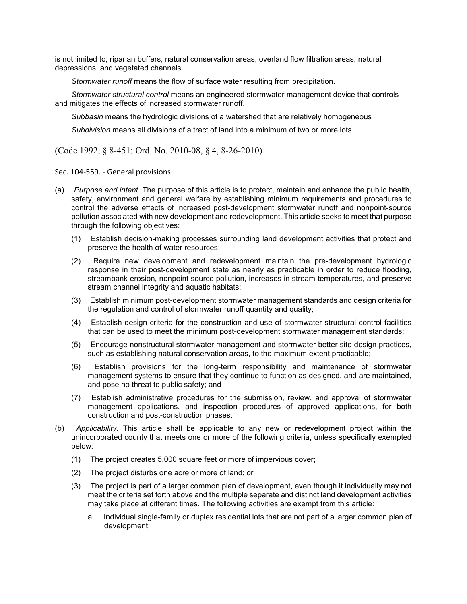is not limited to, riparian buffers, natural conservation areas, overland flow filtration areas, natural depressions, and vegetated channels.

*Stormwater runoff* means the flow of surface water resulting from precipitation.

*Stormwater structural control* means an engineered stormwater management device that controls and mitigates the effects of increased stormwater runoff.

*Subbasin* means the hydrologic divisions of a watershed that are relatively homogeneous

*Subdivision* means all divisions of a tract of land into a minimum of two or more lots.

(Code 1992, § 8-451; Ord. No. 2010-08, § 4, 8-26-2010)

Sec. 104-559. - General provisions

- (a) *Purpose and intent.* The purpose of this article is to protect, maintain and enhance the public health, safety, environment and general welfare by establishing minimum requirements and procedures to control the adverse effects of increased post-development stormwater runoff and nonpoint-source pollution associated with new development and redevelopment. This article seeks to meet that purpose through the following objectives:
	- (1) Establish decision-making processes surrounding land development activities that protect and preserve the health of water resources;
	- (2) Require new development and redevelopment maintain the pre-development hydrologic response in their post-development state as nearly as practicable in order to reduce flooding, streambank erosion, nonpoint source pollution, increases in stream temperatures, and preserve stream channel integrity and aquatic habitats;
	- (3) Establish minimum post-development stormwater management standards and design criteria for the regulation and control of stormwater runoff quantity and quality;
	- (4) Establish design criteria for the construction and use of stormwater structural control facilities that can be used to meet the minimum post-development stormwater management standards;
	- (5) Encourage nonstructural stormwater management and stormwater better site design practices, such as establishing natural conservation areas, to the maximum extent practicable;
	- (6) Establish provisions for the long-term responsibility and maintenance of stormwater management systems to ensure that they continue to function as designed, and are maintained, and pose no threat to public safety; and
	- (7) Establish administrative procedures for the submission, review, and approval of stormwater management applications, and inspection procedures of approved applications, for both construction and post-construction phases.
- (b) *Applicability.* This article shall be applicable to any new or redevelopment project within the unincorporated county that meets one or more of the following criteria, unless specifically exempted below:
	- (1) The project creates 5,000 square feet or more of impervious cover;
	- (2) The project disturbs one acre or more of land; or
	- (3) The project is part of a larger common plan of development, even though it individually may not meet the criteria set forth above and the multiple separate and distinct land development activities may take place at different times. The following activities are exempt from this article:
		- a. Individual single-family or duplex residential lots that are not part of a larger common plan of development;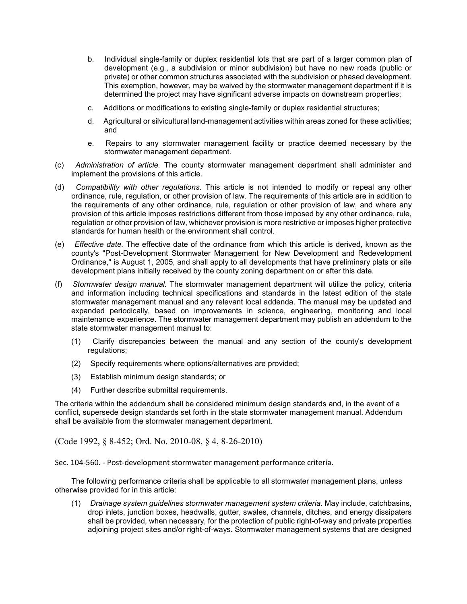- b. Individual single-family or duplex residential lots that are part of a larger common plan of development (e.g., a subdivision or minor subdivision) but have no new roads (public or private) or other common structures associated with the subdivision or phased development. This exemption, however, may be waived by the stormwater management department if it is determined the project may have significant adverse impacts on downstream properties;
- c. Additions or modifications to existing single-family or duplex residential structures;
- d. Agricultural or silvicultural land-management activities within areas zoned for these activities; and
- e. Repairs to any stormwater management facility or practice deemed necessary by the stormwater management department.
- (c) *Administration of article.* The county stormwater management department shall administer and implement the provisions of this article.
- (d) *Compatibility with other regulations.* This article is not intended to modify or repeal any other ordinance, rule, regulation, or other provision of law. The requirements of this article are in addition to the requirements of any other ordinance, rule, regulation or other provision of law, and where any provision of this article imposes restrictions different from those imposed by any other ordinance, rule, regulation or other provision of law, whichever provision is more restrictive or imposes higher protective standards for human health or the environment shall control.
- (e) *Effective date.* The effective date of the ordinance from which this article is derived, known as the county's "Post-Development Stormwater Management for New Development and Redevelopment Ordinance," is August 1, 2005, and shall apply to all developments that have preliminary plats or site development plans initially received by the county zoning department on or after this date.
- (f) *Stormwater design manual.* The stormwater management department will utilize the policy, criteria and information including technical specifications and standards in the latest edition of the state stormwater management manual and any relevant local addenda. The manual may be updated and expanded periodically, based on improvements in science, engineering, monitoring and local maintenance experience. The stormwater management department may publish an addendum to the state stormwater management manual to:
	- (1) Clarify discrepancies between the manual and any section of the county's development regulations:
	- (2) Specify requirements where options/alternatives are provided;
	- (3) Establish minimum design standards; or
	- (4) Further describe submittal requirements.

The criteria within the addendum shall be considered minimum design standards and, in the event of a conflict, supersede design standards set forth in the state stormwater management manual. Addendum shall be available from the stormwater management department.

(Code 1992, § 8-452; Ord. No. 2010-08, § 4, 8-26-2010)

Sec. 104-560. - Post-development stormwater management performance criteria.

The following performance criteria shall be applicable to all stormwater management plans, unless otherwise provided for in this article:

(1) *Drainage system guidelines stormwater management system criteria.* May include, catchbasins, drop inlets, junction boxes, headwalls, gutter, swales, channels, ditches, and energy dissipaters shall be provided, when necessary, for the protection of public right-of-way and private properties adjoining project sites and/or right-of-ways. Stormwater management systems that are designed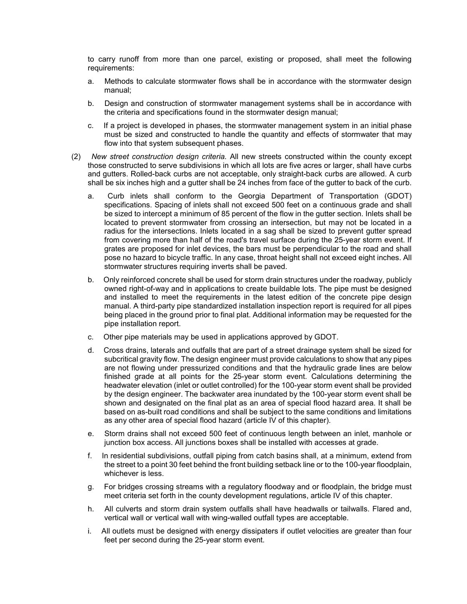to carry runoff from more than one parcel, existing or proposed, shall meet the following requirements:

- a. Methods to calculate stormwater flows shall be in accordance with the stormwater design manual;
- b. Design and construction of stormwater management systems shall be in accordance with the criteria and specifications found in the stormwater design manual;
- c. If a project is developed in phases, the stormwater management system in an initial phase must be sized and constructed to handle the quantity and effects of stormwater that may flow into that system subsequent phases.
- (2) *New street construction design criteria.* All new streets constructed within the county except those constructed to serve subdivisions in which all lots are five acres or larger, shall have curbs and gutters. Rolled-back curbs are not acceptable, only straight-back curbs are allowed. A curb shall be six inches high and a gutter shall be 24 inches from face of the gutter to back of the curb.
	- a. Curb inlets shall conform to the Georgia Department of Transportation (GDOT) specifications. Spacing of inlets shall not exceed 500 feet on a continuous grade and shall be sized to intercept a minimum of 85 percent of the flow in the gutter section. Inlets shall be located to prevent stormwater from crossing an intersection, but may not be located in a radius for the intersections. Inlets located in a sag shall be sized to prevent gutter spread from covering more than half of the road's travel surface during the 25-year storm event. If grates are proposed for inlet devices, the bars must be perpendicular to the road and shall pose no hazard to bicycle traffic. In any case, throat height shall not exceed eight inches. All stormwater structures requiring inverts shall be paved.
	- b. Only reinforced concrete shall be used for storm drain structures under the roadway, publicly owned right-of-way and in applications to create buildable lots. The pipe must be designed and installed to meet the requirements in the latest edition of the concrete pipe design manual. A third-party pipe standardized installation inspection report is required for all pipes being placed in the ground prior to final plat. Additional information may be requested for the pipe installation report.
	- c. Other pipe materials may be used in applications approved by GDOT.
	- d. Cross drains, laterals and outfalls that are part of a street drainage system shall be sized for subcritical gravity flow. The design engineer must provide calculations to show that any pipes are not flowing under pressurized conditions and that the hydraulic grade lines are below finished grade at all points for the 25-year storm event. Calculations determining the headwater elevation (inlet or outlet controlled) for the 100-year storm event shall be provided by the design engineer. The backwater area inundated by the 100-year storm event shall be shown and designated on the final plat as an area of special flood hazard area. It shall be based on as-built road conditions and shall be subject to the same conditions and limitations as any other area of special flood hazard (article IV of this chapter).
	- e. Storm drains shall not exceed 500 feet of continuous length between an inlet, manhole or junction box access. All junctions boxes shall be installed with accesses at grade.
	- f. In residential subdivisions, outfall piping from catch basins shall, at a minimum, extend from the street to a point 30 feet behind the front building setback line or to the 100-year floodplain, whichever is less.
	- g. For bridges crossing streams with a regulatory floodway and or floodplain, the bridge must meet criteria set forth in the county development regulations, article IV of this chapter.
	- h. All culverts and storm drain system outfalls shall have headwalls or tailwalls. Flared and, vertical wall or vertical wall with wing-walled outfall types are acceptable.
	- i. All outlets must be designed with energy dissipaters if outlet velocities are greater than four feet per second during the 25-year storm event.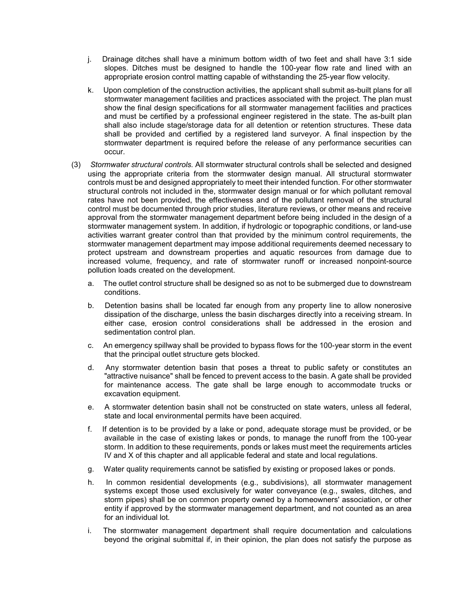- j. Drainage ditches shall have a minimum bottom width of two feet and shall have 3:1 side slopes. Ditches must be designed to handle the 100-year flow rate and lined with an appropriate erosion control matting capable of withstanding the 25-year flow velocity.
- k. Upon completion of the construction activities, the applicant shall submit as-built plans for all stormwater management facilities and practices associated with the project. The plan must show the final design specifications for all stormwater management facilities and practices and must be certified by a professional engineer registered in the state. The as-built plan shall also include stage/storage data for all detention or retention structures. These data shall be provided and certified by a registered land surveyor. A final inspection by the stormwater department is required before the release of any performance securities can occur.
- (3) *Stormwater structural controls.* All stormwater structural controls shall be selected and designed using the appropriate criteria from the stormwater design manual. All structural stormwater controls must be and designed appropriately to meet their intended function. For other stormwater structural controls not included in the, stormwater design manual or for which pollutant removal rates have not been provided, the effectiveness and of the pollutant removal of the structural control must be documented through prior studies, literature reviews, or other means and receive approval from the stormwater management department before being included in the design of a stormwater management system. In addition, if hydrologic or topographic conditions, or land-use activities warrant greater control than that provided by the minimum control requirements, the stormwater management department may impose additional requirements deemed necessary to protect upstream and downstream properties and aquatic resources from damage due to increased volume, frequency, and rate of stormwater runoff or increased nonpoint-source pollution loads created on the development.
	- a. The outlet control structure shall be designed so as not to be submerged due to downstream conditions.
	- b. Detention basins shall be located far enough from any property line to allow nonerosive dissipation of the discharge, unless the basin discharges directly into a receiving stream. In either case, erosion control considerations shall be addressed in the erosion and sedimentation control plan.
	- c. An emergency spillway shall be provided to bypass flows for the 100-year storm in the event that the principal outlet structure gets blocked.
	- d. Any stormwater detention basin that poses a threat to public safety or constitutes an "attractive nuisance" shall be fenced to prevent access to the basin. A gate shall be provided for maintenance access. The gate shall be large enough to accommodate trucks or excavation equipment.
	- e. A stormwater detention basin shall not be constructed on state waters, unless all federal, state and local environmental permits have been acquired.
	- f. If detention is to be provided by a lake or pond, adequate storage must be provided, or be available in the case of existing lakes or ponds, to manage the runoff from the 100-year storm. In addition to these requirements, ponds or lakes must meet the requirements articles IV and X of this chapter and all applicable federal and state and local regulations.
	- g. Water quality requirements cannot be satisfied by existing or proposed lakes or ponds.
	- h. In common residential developments (e.g., subdivisions), all stormwater management systems except those used exclusively for water conveyance (e.g., swales, ditches, and storm pipes) shall be on common property owned by a homeowners' association, or other entity if approved by the stormwater management department, and not counted as an area for an individual lot.
	- i. The stormwater management department shall require documentation and calculations beyond the original submittal if, in their opinion, the plan does not satisfy the purpose as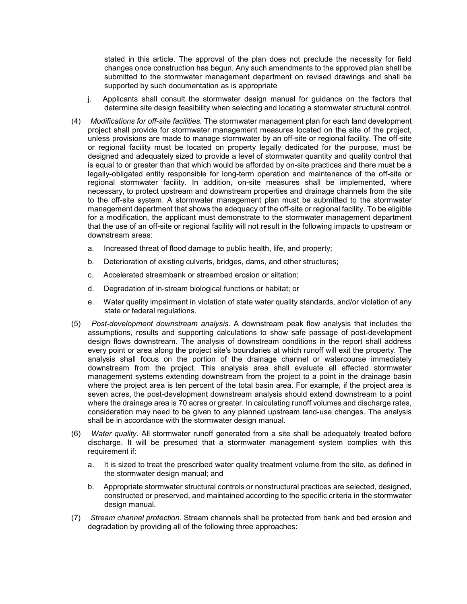stated in this article. The approval of the plan does not preclude the necessity for field changes once construction has begun. Any such amendments to the approved plan shall be submitted to the stormwater management department on revised drawings and shall be supported by such documentation as is appropriate

- j. Applicants shall consult the stormwater design manual for guidance on the factors that determine site design feasibility when selecting and locating a stormwater structural control.
- (4) *Modifications for off-site facilities.* The stormwater management plan for each land development project shall provide for stormwater management measures located on the site of the project, unless provisions are made to manage stormwater by an off-site or regional facility. The off-site or regional facility must be located on property legally dedicated for the purpose, must be designed and adequately sized to provide a level of stormwater quantity and quality control that is equal to or greater than that which would be afforded by on-site practices and there must be a legally-obligated entity responsible for long-term operation and maintenance of the off-site or regional stormwater facility. In addition, on-site measures shall be implemented, where necessary, to protect upstream and downstream properties and drainage channels from the site to the off-site system. A stormwater management plan must be submitted to the stormwater management department that shows the adequacy of the off-site or regional facility. To be eligible for a modification, the applicant must demonstrate to the stormwater management department that the use of an off-site or regional facility will not result in the following impacts to upstream or downstream areas:
	- a. Increased threat of flood damage to public health, life, and property;
	- b. Deterioration of existing culverts, bridges, dams, and other structures;
	- c. Accelerated streambank or streambed erosion or siltation;
	- d. Degradation of in-stream biological functions or habitat; or
	- e. Water quality impairment in violation of state water quality standards, and/or violation of any state or federal regulations.
- (5) *Post-development downstream analysis.* A downstream peak flow analysis that includes the assumptions, results and supporting calculations to show safe passage of post-development design flows downstream. The analysis of downstream conditions in the report shall address every point or area along the project site's boundaries at which runoff will exit the property. The analysis shall focus on the portion of the drainage channel or watercourse immediately downstream from the project. This analysis area shall evaluate all effected stormwater management systems extending downstream from the project to a point in the drainage basin where the project area is ten percent of the total basin area. For example, if the project area is seven acres, the post-development downstream analysis should extend downstream to a point where the drainage area is 70 acres or greater. In calculating runoff volumes and discharge rates, consideration may need to be given to any planned upstream land-use changes. The analysis shall be in accordance with the stormwater design manual.
- (6) *Water quality.* All stormwater runoff generated from a site shall be adequately treated before discharge. It will be presumed that a stormwater management system complies with this requirement if:
	- a. It is sized to treat the prescribed water quality treatment volume from the site, as defined in the stormwater design manual; and
	- b. Appropriate stormwater structural controls or nonstructural practices are selected, designed, constructed or preserved, and maintained according to the specific criteria in the stormwater design manual.
- (7) *Stream channel protection.* Stream channels shall be protected from bank and bed erosion and degradation by providing all of the following three approaches: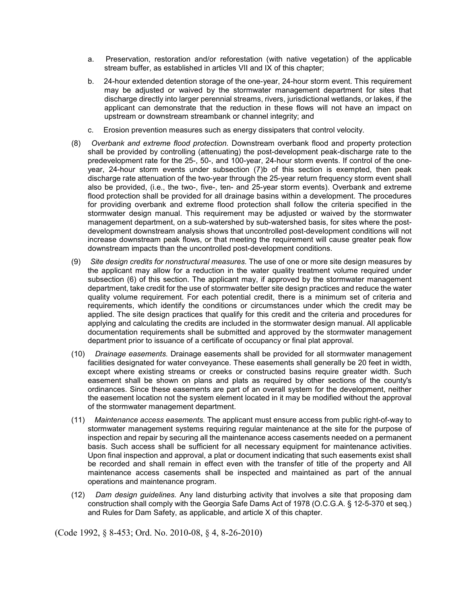- a. Preservation, restoration and/or reforestation (with native vegetation) of the applicable stream buffer, as established in articles VII and IX of this chapter;
- b. 24-hour extended detention storage of the one-year, 24-hour storm event. This requirement may be adjusted or waived by the stormwater management department for sites that discharge directly into larger perennial streams, rivers, jurisdictional wetlands, or lakes, if the applicant can demonstrate that the reduction in these flows will not have an impact on upstream or downstream streambank or channel integrity; and
- c. Erosion prevention measures such as energy dissipaters that control velocity.
- (8) *Overbank and extreme flood protection.* Downstream overbank flood and property protection shall be provided by controlling (attenuating) the post-development peak-discharge rate to the predevelopment rate for the 25-, 50-, and 100-year, 24-hour storm events. If control of the oneyear, 24-hour storm events under subsection (7)b of this section is exempted, then peak discharge rate attenuation of the two-year through the 25-year return frequency storm event shall also be provided, (i.e., the two-, five-, ten- and 25-year storm events). Overbank and extreme flood protection shall be provided for all drainage basins within a development. The procedures for providing overbank and extreme flood protection shall follow the criteria specified in the stormwater design manual. This requirement may be adjusted or waived by the stormwater management department, on a sub-watershed by sub-watershed basis, for sites where the postdevelopment downstream analysis shows that uncontrolled post-development conditions will not increase downstream peak flows, or that meeting the requirement will cause greater peak flow downstream impacts than the uncontrolled post-development conditions.
- (9) *Site design credits for nonstructural measures.* The use of one or more site design measures by the applicant may allow for a reduction in the water quality treatment volume required under subsection (6) of this section. The applicant may, if approved by the stormwater management department, take credit for the use of stormwater better site design practices and reduce the water quality volume requirement. For each potential credit, there is a minimum set of criteria and requirements, which identify the conditions or circumstances under which the credit may be applied. The site design practices that qualify for this credit and the criteria and procedures for applying and calculating the credits are included in the stormwater design manual. All applicable documentation requirements shall be submitted and approved by the stormwater management department prior to issuance of a certificate of occupancy or final plat approval.
- (10) *Drainage easements.* Drainage easements shall be provided for all stormwater management facilities designated for water conveyance. These easements shall generally be 20 feet in width, except where existing streams or creeks or constructed basins require greater width. Such easement shall be shown on plans and plats as required by other sections of the county's ordinances. Since these easements are part of an overall system for the development, neither the easement location not the system element located in it may be modified without the approval of the stormwater management department.
- (11) *Maintenance access easements.* The applicant must ensure access from public right-of-way to stormwater management systems requiring regular maintenance at the site for the purpose of inspection and repair by securing all the maintenance access casements needed on a permanent basis. Such access shall be sufficient for all necessary equipment for maintenance activities. Upon final inspection and approval, a plat or document indicating that such easements exist shall be recorded and shall remain in effect even with the transfer of title of the property and All maintenance access casements shall be inspected and maintained as part of the annual operations and maintenance program.
- (12) *Dam design guidelines.* Any land disturbing activity that involves a site that proposing dam construction shall comply with the Georgia Safe Dams Act of 1978 (O.C.G.A. § 12-5-370 et seq.) and Rules for Dam Safety, as applicable, and article X of this chapter.

(Code 1992, § 8-453; Ord. No. 2010-08, § 4, 8-26-2010)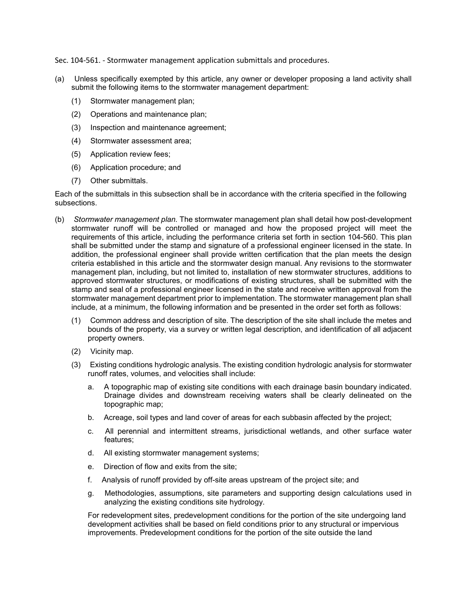Sec. 104-561. - Stormwater management application submittals and procedures.

- (a) Unless specifically exempted by this article, any owner or developer proposing a land activity shall submit the following items to the stormwater management department:
	- (1) Stormwater management plan;
	- (2) Operations and maintenance plan;
	- (3) Inspection and maintenance agreement;
	- (4) Stormwater assessment area;
	- (5) Application review fees;
	- (6) Application procedure; and
	- (7) Other submittals.

Each of the submittals in this subsection shall be in accordance with the criteria specified in the following subsections.

- (b) *Stormwater management plan.* The stormwater management plan shall detail how post-development stormwater runoff will be controlled or managed and how the proposed project will meet the requirements of this article, including the performance criteria set forth in section 104-560. This plan shall be submitted under the stamp and signature of a professional engineer licensed in the state. In addition, the professional engineer shall provide written certification that the plan meets the design criteria established in this article and the stormwater design manual. Any revisions to the stormwater management plan, including, but not limited to, installation of new stormwater structures, additions to approved stormwater structures, or modifications of existing structures, shall be submitted with the stamp and seal of a professional engineer licensed in the state and receive written approval from the stormwater management department prior to implementation. The stormwater management plan shall include, at a minimum, the following information and be presented in the order set forth as follows:
	- (1) Common address and description of site. The description of the site shall include the metes and bounds of the property, via a survey or written legal description, and identification of all adjacent property owners.
	- (2) Vicinity map.
	- (3) Existing conditions hydrologic analysis. The existing condition hydrologic analysis for stormwater runoff rates, volumes, and velocities shall include:
		- a. A topographic map of existing site conditions with each drainage basin boundary indicated. Drainage divides and downstream receiving waters shall be clearly delineated on the topographic map;
		- b. Acreage, soil types and land cover of areas for each subbasin affected by the project;
		- c. All perennial and intermittent streams, jurisdictional wetlands, and other surface water features;
		- d. All existing stormwater management systems;
		- e. Direction of flow and exits from the site;
		- f. Analysis of runoff provided by off-site areas upstream of the project site; and
		- g. Methodologies, assumptions, site parameters and supporting design calculations used in analyzing the existing conditions site hydrology.

For redevelopment sites, predevelopment conditions for the portion of the site undergoing land development activities shall be based on field conditions prior to any structural or impervious improvements. Predevelopment conditions for the portion of the site outside the land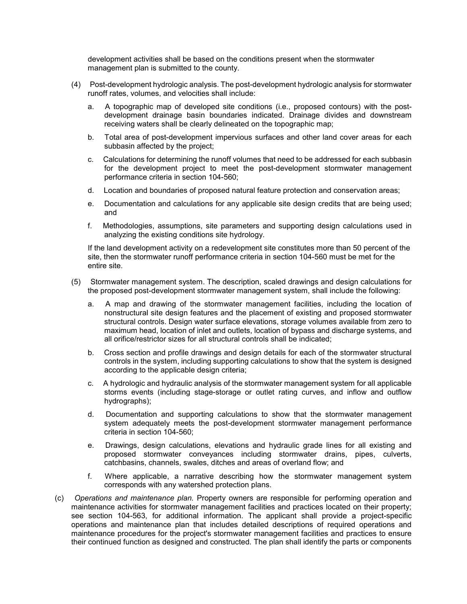development activities shall be based on the conditions present when the stormwater management plan is submitted to the county.

- (4) Post-development hydrologic analysis. The post-development hydrologic analysis for stormwater runoff rates, volumes, and velocities shall include:
	- a. A topographic map of developed site conditions (i.e., proposed contours) with the postdevelopment drainage basin boundaries indicated. Drainage divides and downstream receiving waters shall be clearly delineated on the topographic map;
	- b. Total area of post-development impervious surfaces and other land cover areas for each subbasin affected by the project;
	- c. Calculations for determining the runoff volumes that need to be addressed for each subbasin for the development project to meet the post-development stormwater management performance criteria in section 104-560;
	- d. Location and boundaries of proposed natural feature protection and conservation areas;
	- e. Documentation and calculations for any applicable site design credits that are being used; and
	- f. Methodologies, assumptions, site parameters and supporting design calculations used in analyzing the existing conditions site hydrology.

If the land development activity on a redevelopment site constitutes more than 50 percent of the site, then the stormwater runoff performance criteria in section 104-560 must be met for the entire site.

- (5) Stormwater management system. The description, scaled drawings and design calculations for the proposed post-development stormwater management system, shall include the following:
	- a. A map and drawing of the stormwater management facilities, including the location of nonstructural site design features and the placement of existing and proposed stormwater structural controls. Design water surface elevations, storage volumes available from zero to maximum head, location of inlet and outlets, location of bypass and discharge systems, and all orifice/restrictor sizes for all structural controls shall be indicated;
	- b. Cross section and profile drawings and design details for each of the stormwater structural controls in the system, including supporting calculations to show that the system is designed according to the applicable design criteria;
	- c. A hydrologic and hydraulic analysis of the stormwater management system for all applicable storms events (including stage-storage or outlet rating curves, and inflow and outflow hydrographs);
	- d. Documentation and supporting calculations to show that the stormwater management system adequately meets the post-development stormwater management performance criteria in section 104-560;
	- e. Drawings, design calculations, elevations and hydraulic grade lines for all existing and proposed stormwater conveyances including stormwater drains, pipes, culverts, catchbasins, channels, swales, ditches and areas of overland flow; and
	- f. Where applicable, a narrative describing how the stormwater management system corresponds with any watershed protection plans.
- (c) *Operations and maintenance plan.* Property owners are responsible for performing operation and maintenance activities for stormwater management facilities and practices located on their property; see section 104-563, for additional information. The applicant shall provide a project-specific operations and maintenance plan that includes detailed descriptions of required operations and maintenance procedures for the project's stormwater management facilities and practices to ensure their continued function as designed and constructed. The plan shall identify the parts or components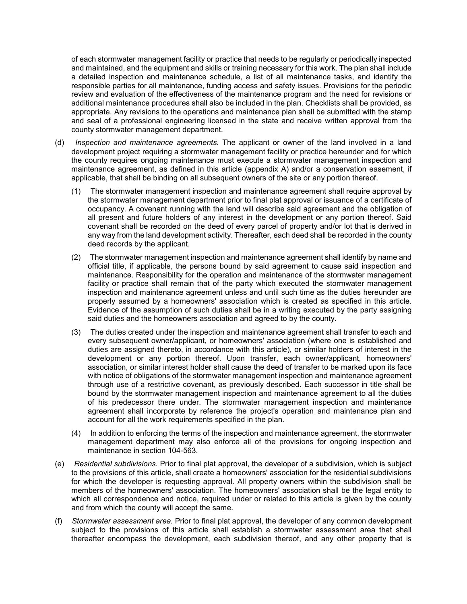of each stormwater management facility or practice that needs to be regularly or periodically inspected and maintained, and the equipment and skills or training necessary for this work. The plan shall include a detailed inspection and maintenance schedule, a list of all maintenance tasks, and identify the responsible parties for all maintenance, funding access and safety issues. Provisions for the periodic review and evaluation of the effectiveness of the maintenance program and the need for revisions or additional maintenance procedures shall also be included in the plan. Checklists shall be provided, as appropriate. Any revisions to the operations and maintenance plan shall be submitted with the stamp and seal of a professional engineering licensed in the state and receive written approval from the county stormwater management department.

- (d) *Inspection and maintenance agreements.* The applicant or owner of the land involved in a land development project requiring a stormwater management facility or practice hereunder and for which the county requires ongoing maintenance must execute a stormwater management inspection and maintenance agreement, as defined in this article (appendix A) and/or a conservation easement, if applicable, that shall be binding on all subsequent owners of the site or any portion thereof.
	- (1) The stormwater management inspection and maintenance agreement shall require approval by the stormwater management department prior to final plat approval or issuance of a certificate of occupancy. A covenant running with the land will describe said agreement and the obligation of all present and future holders of any interest in the development or any portion thereof. Said covenant shall be recorded on the deed of every parcel of property and/or lot that is derived in any way from the land development activity. Thereafter, each deed shall be recorded in the county deed records by the applicant.
	- (2) The stormwater management inspection and maintenance agreement shall identify by name and official title, if applicable, the persons bound by said agreement to cause said inspection and maintenance. Responsibility for the operation and maintenance of the stormwater management facility or practice shall remain that of the party which executed the stormwater management inspection and maintenance agreement unless and until such time as the duties hereunder are properly assumed by a homeowners' association which is created as specified in this article. Evidence of the assumption of such duties shall be in a writing executed by the party assigning said duties and the homeowners association and agreed to by the county.
	- (3) The duties created under the inspection and maintenance agreement shall transfer to each and every subsequent owner/applicant, or homeowners' association (where one is established and duties are assigned thereto, in accordance with this article), or similar holders of interest in the development or any portion thereof. Upon transfer, each owner/applicant, homeowners' association, or similar interest holder shall cause the deed of transfer to be marked upon its face with notice of obligations of the stormwater management inspection and maintenance agreement through use of a restrictive covenant, as previously described. Each successor in title shall be bound by the stormwater management inspection and maintenance agreement to all the duties of his predecessor there under. The stormwater management inspection and maintenance agreement shall incorporate by reference the project's operation and maintenance plan and account for all the work requirements specified in the plan.
	- (4) In addition to enforcing the terms of the inspection and maintenance agreement, the stormwater management department may also enforce all of the provisions for ongoing inspection and maintenance in section 104-563.
- (e) *Residential subdivisions.* Prior to final plat approval, the developer of a subdivision, which is subject to the provisions of this article, shall create a homeowners' association for the residential subdivisions for which the developer is requesting approval. All property owners within the subdivision shall be members of the homeowners' association. The homeowners' association shall be the legal entity to which all correspondence and notice, required under or related to this article is given by the county and from which the county will accept the same.
- (f) *Stormwater assessment area.* Prior to final plat approval, the developer of any common development subject to the provisions of this article shall establish a stormwater assessment area that shall thereafter encompass the development, each subdivision thereof, and any other property that is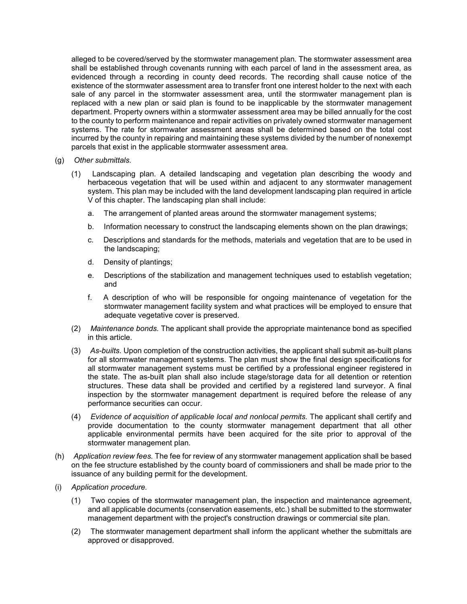alleged to be covered/served by the stormwater management plan. The stormwater assessment area shall be established through covenants running with each parcel of land in the assessment area, as evidenced through a recording in county deed records. The recording shall cause notice of the existence of the stormwater assessment area to transfer front one interest holder to the next with each sale of any parcel in the stormwater assessment area, until the stormwater management plan is replaced with a new plan or said plan is found to be inapplicable by the stormwater management department. Property owners within a stormwater assessment area may be billed annually for the cost to the county to perform maintenance and repair activities on privately owned stormwater management systems. The rate for stormwater assessment areas shall be determined based on the total cost incurred by the county in repairing and maintaining these systems divided by the number of nonexempt parcels that exist in the applicable stormwater assessment area.

- (g) *Other submittals.*
	- (1) Landscaping plan. A detailed landscaping and vegetation plan describing the woody and herbaceous vegetation that will be used within and adjacent to any stormwater management system. This plan may be included with the land development landscaping plan required in article V of this chapter. The landscaping plan shall include:
		- a. The arrangement of planted areas around the stormwater management systems;
		- b. Information necessary to construct the landscaping elements shown on the plan drawings;
		- c. Descriptions and standards for the methods, materials and vegetation that are to be used in the landscaping;
		- d. Density of plantings;
		- e. Descriptions of the stabilization and management techniques used to establish vegetation; and
		- f. A description of who will be responsible for ongoing maintenance of vegetation for the stormwater management facility system and what practices will be employed to ensure that adequate vegetative cover is preserved.
	- (2) *Maintenance bonds.* The applicant shall provide the appropriate maintenance bond as specified in this article.
	- (3) *As-builts.* Upon completion of the construction activities, the applicant shall submit as-built plans for all stormwater management systems. The plan must show the final design specifications for all stormwater management systems must be certified by a professional engineer registered in the state. The as-built plan shall also include stage/storage data for all detention or retention structures. These data shall be provided and certified by a registered land surveyor. A final inspection by the stormwater management department is required before the release of any performance securities can occur.
	- (4) *Evidence of acquisition of applicable local and nonlocal permits.* The applicant shall certify and provide documentation to the county stormwater management department that all other applicable environmental permits have been acquired for the site prior to approval of the stormwater management plan.
- (h) *Application review fees.* The fee for review of any stormwater management application shall be based on the fee structure established by the county board of commissioners and shall be made prior to the issuance of any building permit for the development.
- (i) *Application procedure.*
	- (1) Two copies of the stormwater management plan, the inspection and maintenance agreement, and all applicable documents (conservation easements, etc.) shall be submitted to the stormwater management department with the project's construction drawings or commercial site plan.
	- (2) The stormwater management department shall inform the applicant whether the submittals are approved or disapproved.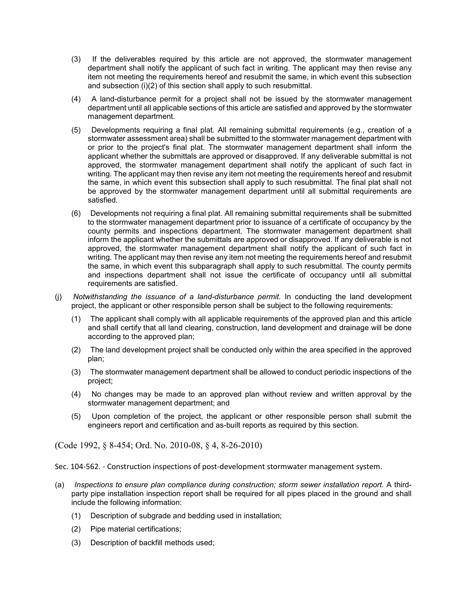- (3) If the deliverables required by this article are not approved, the stormwater management department shall notify the applicant of such fact in writing. The applicant may then revise any item not meeting the requirements hereof and resubmit the same, in which event this subsection and subsection (i)(2) of this section shall apply to such resubmittal.
- (4) A land-disturbance permit for a project shall not be issued by the stormwater management department until all applicable sections of this article are satisfied and approved by the stormwater management department.
- (5) Developments requiring a final plat. All remaining submittal requirements (e.g., creation of a stormwater assessment area) shall be submitted to the stormwater management department with or prior to the project's final plat. The stormwater management department shall inform the applicant whether the submittals are approved or disapproved. If any deliverable submittal is not approved, the stormwater management department shall notify the applicant of such fact in writing. The applicant may then revise any item not meeting the requirements hereof and resubmit the same, in which event this subsection shall apply to such resubmittal. The final plat shall not be approved by the stormwater management department until all submittal requirements are satisfied.
- (6) Developments not requiring a final plat. All remaining submittal requirements shall be submitted to the stormwater management department prior to issuance of a certificate of occupancy by the county permits and inspections department. The stormwater management department shall inform the applicant whether the submittals are approved or disapproved. If any deliverable is not approved, the stormwater management department shall notify the applicant of such fact in writing. The applicant may then revise any item not meeting the requirements hereof and resubmit the same, in which event this subparagraph shall apply to such resubmittal. The county permits and inspections department shall not issue the certificate of occupancy until all submittal requirements are satisfied.
- (j) *Notwithstanding the issuance of a land-disturbance permit.* In conducting the land development project, the applicant or other responsible person shall be subject to the following requirements:
	- (1) The applicant shall comply with all applicable requirements of the approved plan and this article and shall certify that all land clearing, construction, land development and drainage will be done according to the approved plan;
	- (2) The land development project shall be conducted only within the area specified in the approved plan;
	- (3) The stormwater management department shall be allowed to conduct periodic inspections of the project;
	- (4) No changes may be made to an approved plan without review and written approval by the stormwater management department; and
	- (5) Upon completion of the project, the applicant or other responsible person shall submit the engineers report and certification and as-built reports as required by this section.

(Code 1992, § 8-454; Ord. No. 2010-08, § 4, 8-26-2010)

Sec. 104-562. - Construction inspections of post-development stormwater management system.

- (a) *Inspections to ensure plan compliance during construction; storm sewer installation report.* A thirdparty pipe installation inspection report shall be required for all pipes placed in the ground and shall include the following information:
	- (1) Description of subgrade and bedding used in installation;
	- (2) Pipe material certifications;
	- (3) Description of backfill methods used;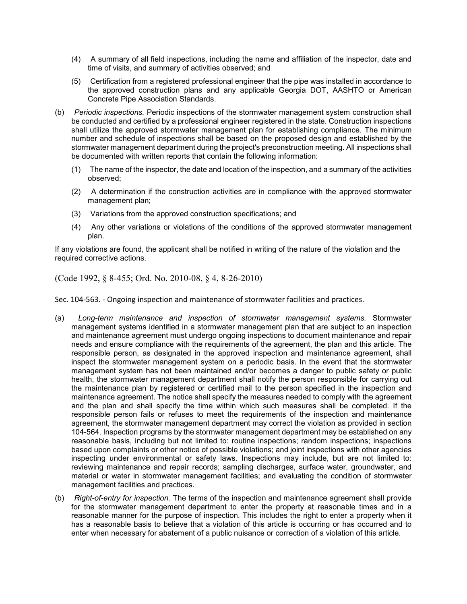- (4) A summary of all field inspections, including the name and affiliation of the inspector, date and time of visits, and summary of activities observed; and
- (5) Certification from a registered professional engineer that the pipe was installed in accordance to the approved construction plans and any applicable Georgia DOT, AASHTO or American Concrete Pipe Association Standards.
- (b) *Periodic inspections.* Periodic inspections of the stormwater management system construction shall be conducted and certified by a professional engineer registered in the state. Construction inspections shall utilize the approved stormwater management plan for establishing compliance. The minimum number and schedule of inspections shall be based on the proposed design and established by the stormwater management department during the project's preconstruction meeting. All inspections shall be documented with written reports that contain the following information:
	- (1) The name of the inspector, the date and location of the inspection, and a summary of the activities observed;
	- (2) A determination if the construction activities are in compliance with the approved stormwater management plan;
	- (3) Variations from the approved construction specifications; and
	- (4) Any other variations or violations of the conditions of the approved stormwater management plan.

If any violations are found, the applicant shall be notified in writing of the nature of the violation and the required corrective actions.

(Code 1992, § 8-455; Ord. No. 2010-08, § 4, 8-26-2010)

Sec. 104-563. - Ongoing inspection and maintenance of stormwater facilities and practices.

- (a) *Long-term maintenance and inspection of stormwater management systems.* Stormwater management systems identified in a stormwater management plan that are subject to an inspection and maintenance agreement must undergo ongoing inspections to document maintenance and repair needs and ensure compliance with the requirements of the agreement, the plan and this article. The responsible person, as designated in the approved inspection and maintenance agreement, shall inspect the stormwater management system on a periodic basis. In the event that the stormwater management system has not been maintained and/or becomes a danger to public safety or public health, the stormwater management department shall notify the person responsible for carrying out the maintenance plan by registered or certified mail to the person specified in the inspection and maintenance agreement. The notice shall specify the measures needed to comply with the agreement and the plan and shall specify the time within which such measures shall be completed. If the responsible person fails or refuses to meet the requirements of the inspection and maintenance agreement, the stormwater management department may correct the violation as provided in section 104-564. Inspection programs by the stormwater management department may be established on any reasonable basis, including but not limited to: routine inspections; random inspections; inspections based upon complaints or other notice of possible violations; and joint inspections with other agencies inspecting under environmental or safety laws. Inspections may include, but are not limited to: reviewing maintenance and repair records; sampling discharges, surface water, groundwater, and material or water in stormwater management facilities; and evaluating the condition of stormwater management facilities and practices.
- (b) *Right-of-entry for inspection.* The terms of the inspection and maintenance agreement shall provide for the stormwater management department to enter the property at reasonable times and in a reasonable manner for the purpose of inspection. This includes the right to enter a property when it has a reasonable basis to believe that a violation of this article is occurring or has occurred and to enter when necessary for abatement of a public nuisance or correction of a violation of this article.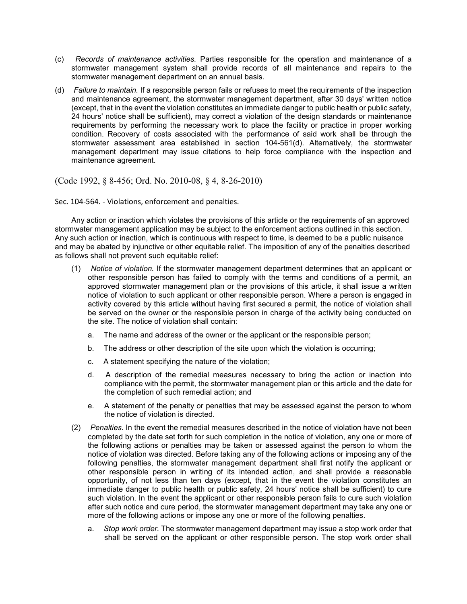- (c) *Records of maintenance activities.* Parties responsible for the operation and maintenance of a stormwater management system shall provide records of all maintenance and repairs to the stormwater management department on an annual basis.
- (d) *Failure to maintain.* If a responsible person fails or refuses to meet the requirements of the inspection and maintenance agreement, the stormwater management department, after 30 days' written notice (except, that in the event the violation constitutes an immediate danger to public health or public safety, 24 hours' notice shall be sufficient), may correct a violation of the design standards or maintenance requirements by performing the necessary work to place the facility or practice in proper working condition. Recovery of costs associated with the performance of said work shall be through the stormwater assessment area established in section 104-561(d). Alternatively, the stormwater management department may issue citations to help force compliance with the inspection and maintenance agreement.

(Code 1992, § 8-456; Ord. No. 2010-08, § 4, 8-26-2010)

Sec. 104-564. - Violations, enforcement and penalties.

Any action or inaction which violates the provisions of this article or the requirements of an approved stormwater management application may be subject to the enforcement actions outlined in this section. Any such action or inaction, which is continuous with respect to time, is deemed to be a public nuisance and may be abated by injunctive or other equitable relief. The imposition of any of the penalties described as follows shall not prevent such equitable relief:

- (1) *Notice of violation.* If the stormwater management department determines that an applicant or other responsible person has failed to comply with the terms and conditions of a permit, an approved stormwater management plan or the provisions of this article, it shall issue a written notice of violation to such applicant or other responsible person. Where a person is engaged in activity covered by this article without having first secured a permit, the notice of violation shall be served on the owner or the responsible person in charge of the activity being conducted on the site. The notice of violation shall contain:
	- a. The name and address of the owner or the applicant or the responsible person;
	- b. The address or other description of the site upon which the violation is occurring;
	- c. A statement specifying the nature of the violation;
	- d. A description of the remedial measures necessary to bring the action or inaction into compliance with the permit, the stormwater management plan or this article and the date for the completion of such remedial action; and
	- e. A statement of the penalty or penalties that may be assessed against the person to whom the notice of violation is directed.
- (2) *Penalties.* In the event the remedial measures described in the notice of violation have not been completed by the date set forth for such completion in the notice of violation, any one or more of the following actions or penalties may be taken or assessed against the person to whom the notice of violation was directed. Before taking any of the following actions or imposing any of the following penalties, the stormwater management department shall first notify the applicant or other responsible person in writing of its intended action, and shall provide a reasonable opportunity, of not less than ten days (except, that in the event the violation constitutes an immediate danger to public health or public safety, 24 hours' notice shall be sufficient) to cure such violation. In the event the applicant or other responsible person fails to cure such violation after such notice and cure period, the stormwater management department may take any one or more of the following actions or impose any one or more of the following penalties.
	- a. *Stop work order.* The stormwater management department may issue a stop work order that shall be served on the applicant or other responsible person. The stop work order shall